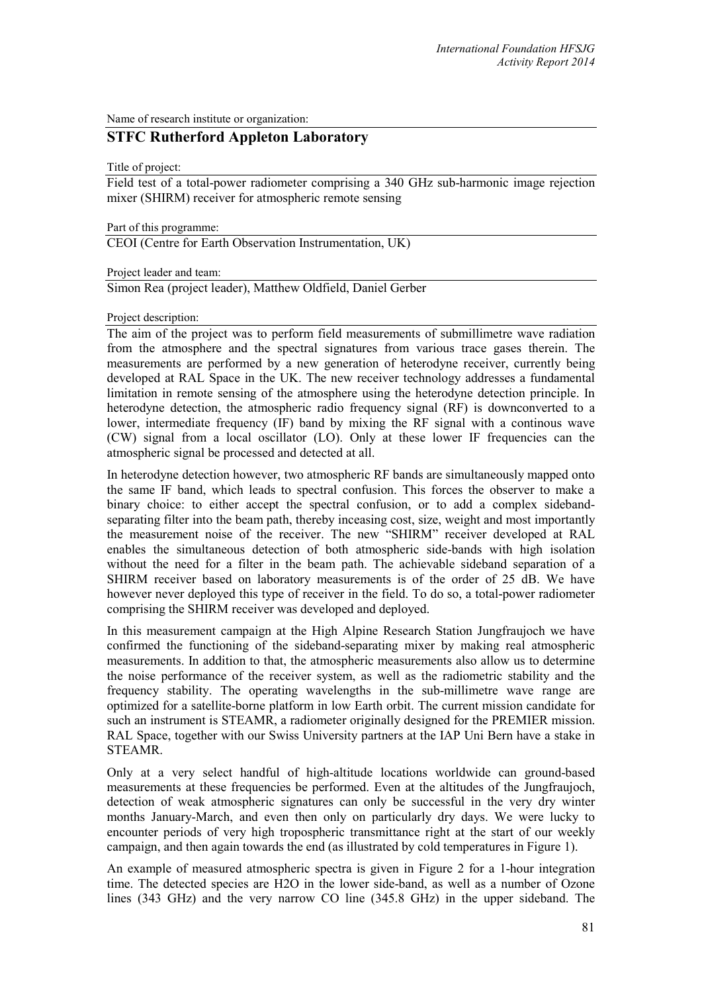Name of research institute or organization:

## **STFC Rutherford Appleton Laboratory**

Title of project:

Field test of a total-power radiometer comprising a 340 GHz sub-harmonic image rejection mixer (SHIRM) receiver for atmospheric remote sensing

Part of this programme:

CEOI (Centre for Earth Observation Instrumentation, UK)

Project leader and team:

Simon Rea (project leader), Matthew Oldfield, Daniel Gerber

Project description:

The aim of the project was to perform field measurements of submillimetre wave radiation from the atmosphere and the spectral signatures from various trace gases therein. The measurements are performed by a new generation of heterodyne receiver, currently being developed at RAL Space in the UK. The new receiver technology addresses a fundamental limitation in remote sensing of the atmosphere using the heterodyne detection principle. In heterodyne detection, the atmospheric radio frequency signal (RF) is downconverted to a lower, intermediate frequency (IF) band by mixing the RF signal with a continous wave (CW) signal from a local oscillator (LO). Only at these lower IF frequencies can the atmospheric signal be processed and detected at all.

In heterodyne detection however, two atmospheric RF bands are simultaneously mapped onto the same IF band, which leads to spectral confusion. This forces the observer to make a binary choice: to either accept the spectral confusion, or to add a complex sidebandseparating filter into the beam path, thereby inceasing cost, size, weight and most importantly the measurement noise of the receiver. The new "SHIRM" receiver developed at RAL enables the simultaneous detection of both atmospheric side-bands with high isolation without the need for a filter in the beam path. The achievable sideband separation of a SHIRM receiver based on laboratory measurements is of the order of 25 dB. We have however never deployed this type of receiver in the field. To do so, a total-power radiometer comprising the SHIRM receiver was developed and deployed.

In this measurement campaign at the High Alpine Research Station Jungfraujoch we have confirmed the functioning of the sideband-separating mixer by making real atmospheric measurements. In addition to that, the atmospheric measurements also allow us to determine the noise performance of the receiver system, as well as the radiometric stability and the frequency stability. The operating wavelengths in the sub-millimetre wave range are optimized for a satellite-borne platform in low Earth orbit. The current mission candidate for such an instrument is STEAMR, a radiometer originally designed for the PREMIER mission. RAL Space, together with our Swiss University partners at the IAP Uni Bern have a stake in STEAMR.

Only at a very select handful of high-altitude locations worldwide can ground-based measurements at these frequencies be performed. Even at the altitudes of the Jungfraujoch, detection of weak atmospheric signatures can only be successful in the very dry winter months January-March, and even then only on particularly dry days. We were lucky to encounter periods of very high tropospheric transmittance right at the start of our weekly campaign, and then again towards the end (as illustrated by cold temperatures in Figure 1).

An example of measured atmospheric spectra is given in Figure 2 for a 1-hour integration time. The detected species are H2O in the lower side-band, as well as a number of Ozone lines (343 GHz) and the very narrow CO line (345.8 GHz) in the upper sideband. The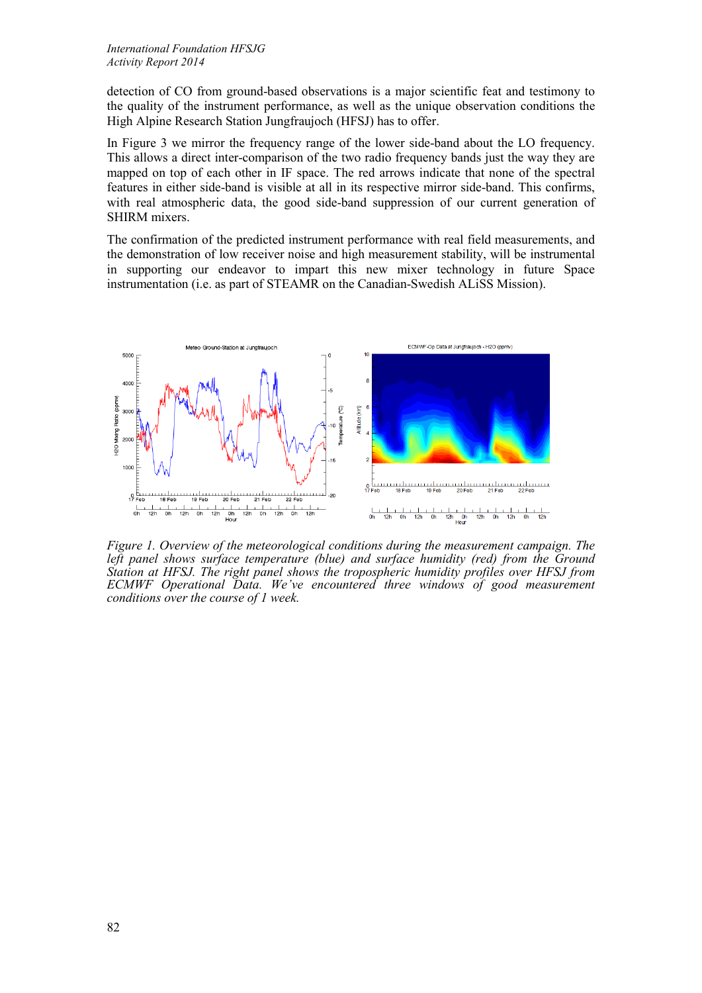detection of CO from ground-based observations is a major scientific feat and testimony to the quality of the instrument performance, as well as the unique observation conditions the High Alpine Research Station Jungfraujoch (HFSJ) has to offer.

In Figure 3 we mirror the frequency range of the lower side-band about the LO frequency. This allows a direct inter-comparison of the two radio frequency bands just the way they are mapped on top of each other in IF space. The red arrows indicate that none of the spectral features in either side-band is visible at all in its respective mirror side-band. This confirms, with real atmospheric data, the good side-band suppression of our current generation of SHIRM mixers.

The confirmation of the predicted instrument performance with real field measurements, and the demonstration of low receiver noise and high measurement stability, will be instrumental in supporting our endeavor to impart this new mixer technology in future Space instrumentation (i.e. as part of STEAMR on the Canadian-Swedish ALiSS Mission).



*Figure 1. Overview of the meteorological conditions during the measurement campaign. The left panel shows surface temperature (blue) and surface humidity (red) from the Ground Station at HFSJ. The right panel shows the tropospheric humidity profiles over HFSJ from ECMWF Operational Data. We've encountered three windows of good measurement conditions over the course of 1 week.*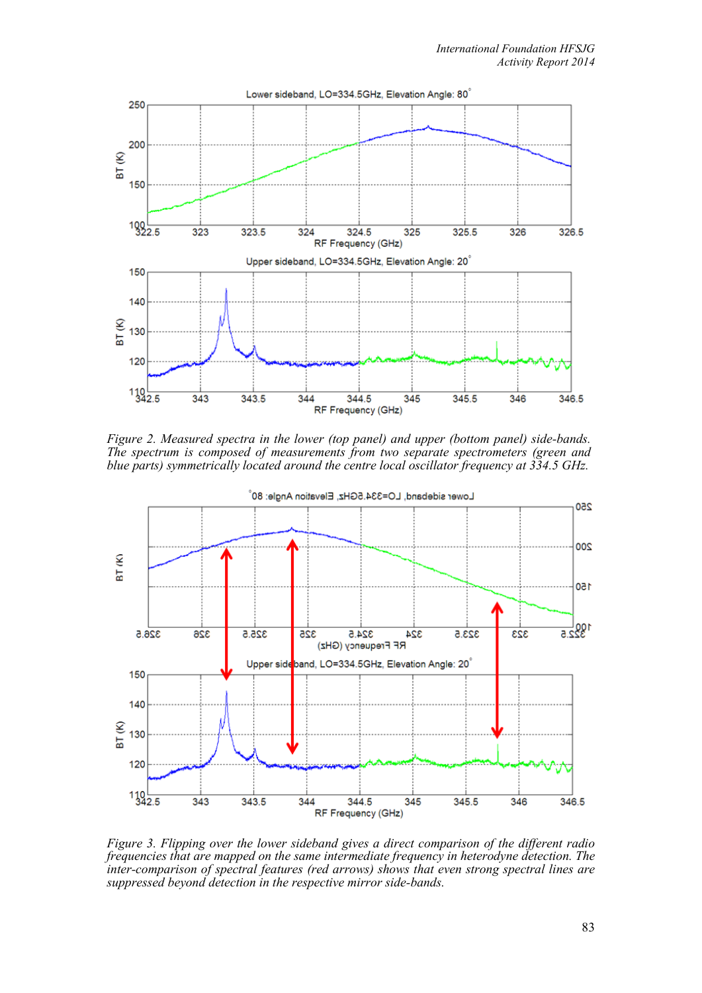

*Figure 2. Measured spectra in the lower (top panel) and upper (bottom panel) side-bands. The spectrum is composed of measurements from two separate spectrometers (green and blue parts) symmetrically located around the centre local oscillator frequency at 334.5 GHz.*



*Figure 3. Flipping over the lower sideband gives a direct comparison of the different radio frequencies that are mapped on the same intermediate frequency in heterodyne detection. The inter-comparison of spectral features (red arrows) shows that even strong spectral lines are suppressed beyond detection in the respective mirror side-bands.*